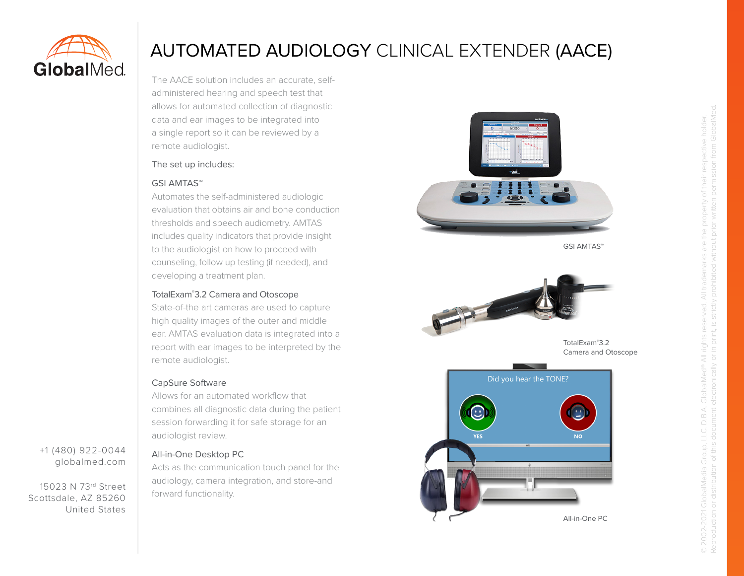

+1 (480) 922-0044 globalmed.com

15023 N 73rd Street Scottsdale, AZ 85260

United States

# AUTOMATED AUDIOLOGY CLINICAL EXTENDER (AACE)

The AACE solution includes an accurate, selfadministered hearing and speech test that allows for automated collection of diagnostic data and ear images to be integrated into a single report so it can be reviewed by a remote audiologist.

## The set up includes:

## GSI AMTAS™

Automates the self-administered audiologic evaluation that obtains air and bone conduction thresholds and speech audiometry. AMTAS includes quality indicators that provide insight to the audiologist on how to proceed with counseling, follow up testing (if needed), and developing a treatment plan.

## TotalExam® 3.2 Camera and Otoscope

State-of-the art cameras are used to capture high quality images of the outer and middle ear. AMTAS evaluation data is integrated into a report with ear images to be interpreted by the remote audiologist.

## CapSure Software

Allows for an automated workflow that combines all diagnostic data during the patient session forwarding it for safe storage for an audiologist review.

# All-in-One Desktop PC

Acts as the communication touch panel for the audiology, camera integration, and store-and forward functionality.







TotalExam® 3.2 Camera and Otoscope



© 2002-2021 GlobalMedia Group, LLC. D.B.A. GlobalMed® All rights reserved. All trademarks are the property of their respective holder.